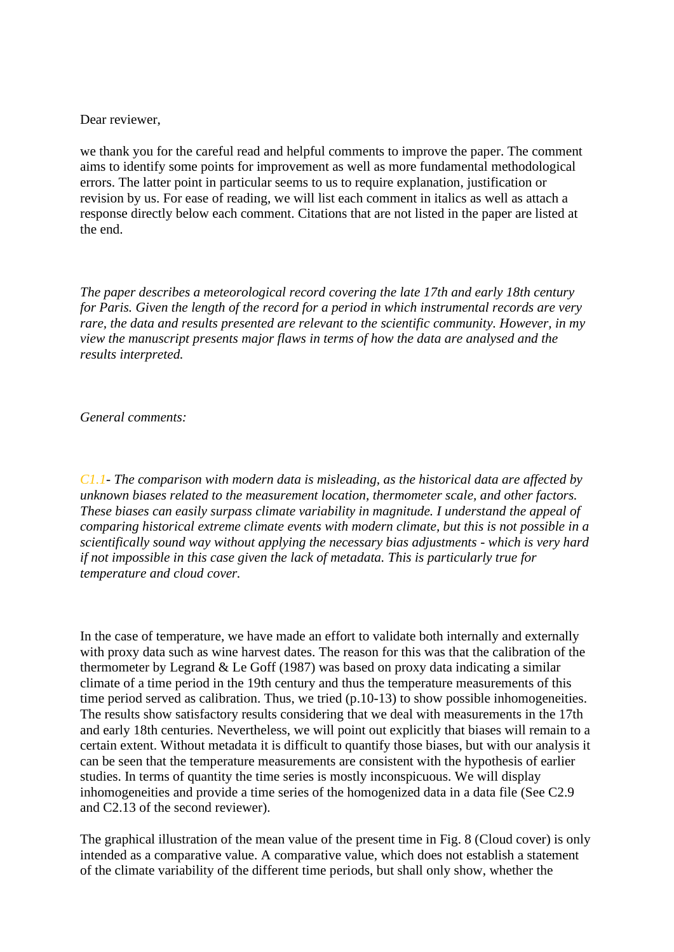Dear reviewer,

we thank you for the careful read and helpful comments to improve the paper. The comment aims to identify some points for improvement as well as more fundamental methodological errors. The latter point in particular seems to us to require explanation, justification or revision by us. For ease of reading, we will list each comment in italics as well as attach a response directly below each comment. Citations that are not listed in the paper are listed at the end.

*The paper describes a meteorological record covering the late 17th and early 18th century for Paris. Given the length of the record for a period in which instrumental records are very rare, the data and results presented are relevant to the scientific community. However, in my view the manuscript presents major flaws in terms of how the data are analysed and the results interpreted.*

*General comments:*

*C1.1- The comparison with modern data is misleading, as the historical data are affected by unknown biases related to the measurement location, thermometer scale, and other factors. These biases can easily surpass climate variability in magnitude. I understand the appeal of comparing historical extreme climate events with modern climate, but this is not possible in a scientifically sound way without applying the necessary bias adjustments - which is very hard if not impossible in this case given the lack of metadata. This is particularly true for temperature and cloud cover.*

In the case of temperature, we have made an effort to validate both internally and externally with proxy data such as wine harvest dates. The reason for this was that the calibration of the thermometer by Legrand  $&$  Le Goff (1987) was based on proxy data indicating a similar climate of a time period in the 19th century and thus the temperature measurements of this time period served as calibration. Thus, we tried (p.10-13) to show possible inhomogeneities. The results show satisfactory results considering that we deal with measurements in the 17th and early 18th centuries. Nevertheless, we will point out explicitly that biases will remain to a certain extent. Without metadata it is difficult to quantify those biases, but with our analysis it can be seen that the temperature measurements are consistent with the hypothesis of earlier studies. In terms of quantity the time series is mostly inconspicuous. We will display inhomogeneities and provide a time series of the homogenized data in a data file (See C2.9 and C2.13 of the second reviewer).

The graphical illustration of the mean value of the present time in Fig. 8 (Cloud cover) is only intended as a comparative value. A comparative value, which does not establish a statement of the climate variability of the different time periods, but shall only show, whether the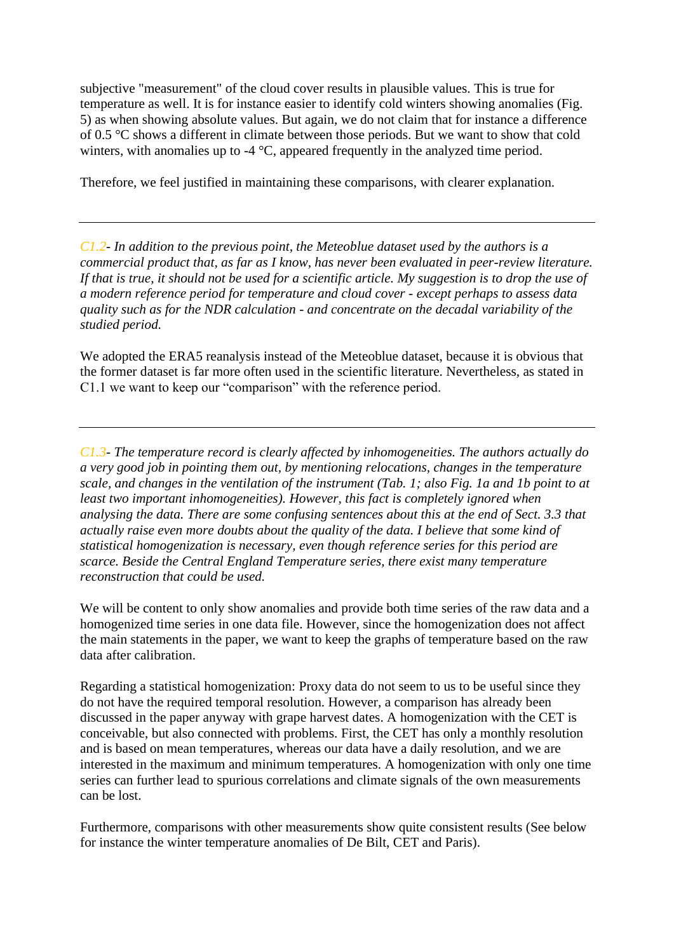subjective "measurement" of the cloud cover results in plausible values. This is true for temperature as well. It is for instance easier to identify cold winters showing anomalies (Fig. 5) as when showing absolute values. But again, we do not claim that for instance a difference of 0.5 °C shows a different in climate between those periods. But we want to show that cold winters, with anomalies up to -4 °C, appeared frequently in the analyzed time period.

Therefore, we feel justified in maintaining these comparisons, with clearer explanation.

*C1.2- In addition to the previous point, the Meteoblue dataset used by the authors is a commercial product that, as far as I know, has never been evaluated in peer-review literature. If that is true, it should not be used for a scientific article. My suggestion is to drop the use of a modern reference period for temperature and cloud cover - except perhaps to assess data quality such as for the NDR calculation - and concentrate on the decadal variability of the studied period.*

We adopted the ERA5 reanalysis instead of the Meteoblue dataset, because it is obvious that the former dataset is far more often used in the scientific literature. Nevertheless, as stated in C1.1 we want to keep our "comparison" with the reference period.

*C1.3- The temperature record is clearly affected by inhomogeneities. The authors actually do a very good job in pointing them out, by mentioning relocations, changes in the temperature scale, and changes in the ventilation of the instrument (Tab. 1; also Fig. 1a and 1b point to at*  least two important inhomogeneities). However, this fact is completely ignored when *analysing the data. There are some confusing sentences about this at the end of Sect. 3.3 that actually raise even more doubts about the quality of the data. I believe that some kind of statistical homogenization is necessary, even though reference series for this period are scarce. Beside the Central England Temperature series, there exist many temperature reconstruction that could be used.*

We will be content to only show anomalies and provide both time series of the raw data and a homogenized time series in one data file. However, since the homogenization does not affect the main statements in the paper, we want to keep the graphs of temperature based on the raw data after calibration.

Regarding a statistical homogenization: Proxy data do not seem to us to be useful since they do not have the required temporal resolution. However, a comparison has already been discussed in the paper anyway with grape harvest dates. A homogenization with the CET is conceivable, but also connected with problems. First, the CET has only a monthly resolution and is based on mean temperatures, whereas our data have a daily resolution, and we are interested in the maximum and minimum temperatures. A homogenization with only one time series can further lead to spurious correlations and climate signals of the own measurements can be lost.

Furthermore, comparisons with other measurements show quite consistent results (See below for instance the winter temperature anomalies of De Bilt, CET and Paris).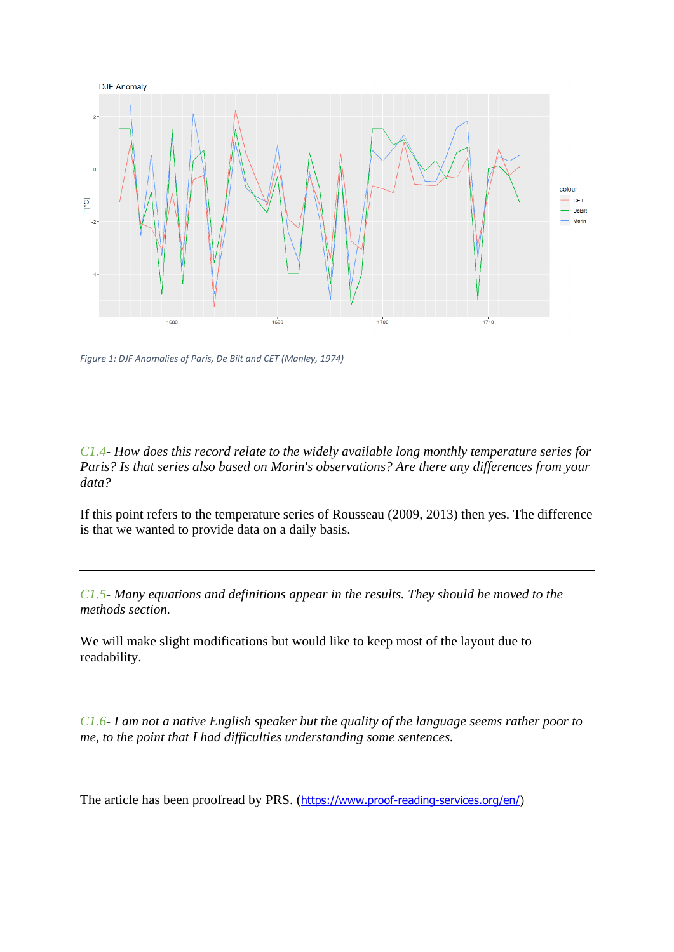

*Figure 1: DJF Anomalies of Paris, De Bilt and CET (Manley, 1974)*

*C1.4- How does this record relate to the widely available long monthly temperature series for Paris? Is that series also based on Morin's observations? Are there any differences from your data?*

If this point refers to the temperature series of Rousseau (2009, 2013) then yes. The difference is that we wanted to provide data on a daily basis.

*C1.5- Many equations and definitions appear in the results. They should be moved to the methods section.*

We will make slight modifications but would like to keep most of the layout due to readability.

*C1.6- I am not a native English speaker but the quality of the language seems rather poor to me, to the point that I had difficulties understanding some sentences.*

The article has been proofread by PRS. ([https://www.proof-reading-services.org/en/\)](https://www.proof-reading-services.org/en/)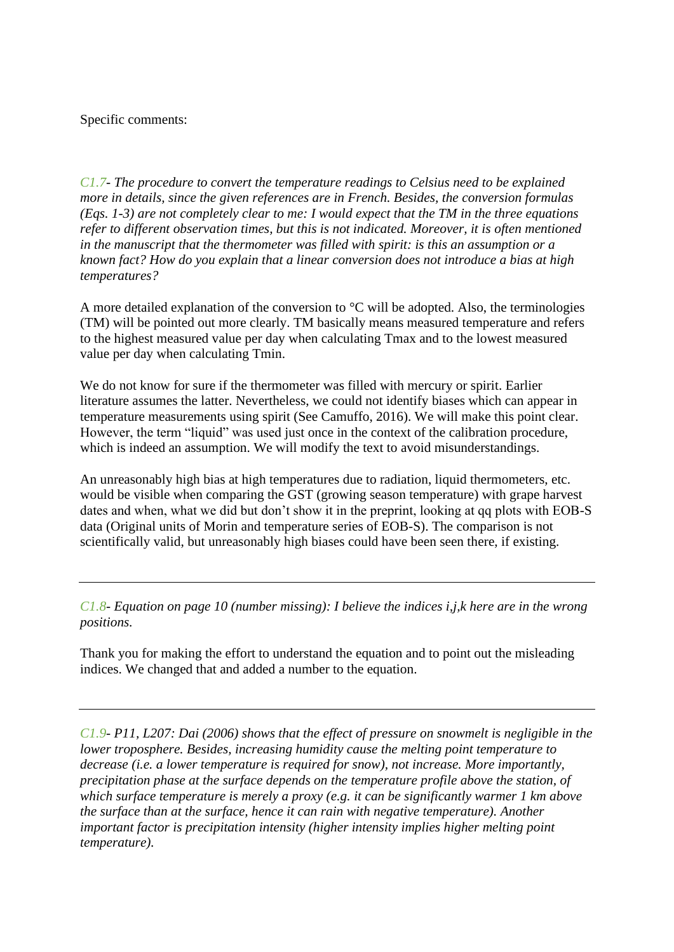Specific comments:

*C1.7- The procedure to convert the temperature readings to Celsius need to be explained more in details, since the given references are in French. Besides, the conversion formulas (Eqs. 1-3) are not completely clear to me: I would expect that the TM in the three equations refer to different observation times, but this is not indicated. Moreover, it is often mentioned in the manuscript that the thermometer was filled with spirit: is this an assumption or a known fact? How do you explain that a linear conversion does not introduce a bias at high temperatures?*

A more detailed explanation of the conversion to °C will be adopted. Also, the terminologies (TM) will be pointed out more clearly. TM basically means measured temperature and refers to the highest measured value per day when calculating Tmax and to the lowest measured value per day when calculating Tmin.

We do not know for sure if the thermometer was filled with mercury or spirit. Earlier literature assumes the latter. Nevertheless, we could not identify biases which can appear in temperature measurements using spirit (See Camuffo, 2016). We will make this point clear. However, the term "liquid" was used just once in the context of the calibration procedure, which is indeed an assumption. We will modify the text to avoid misunderstandings.

An unreasonably high bias at high temperatures due to radiation, liquid thermometers, etc. would be visible when comparing the GST (growing season temperature) with grape harvest dates and when, what we did but don't show it in the preprint, looking at qq plots with EOB-S data (Original units of Morin and temperature series of EOB-S). The comparison is not scientifically valid, but unreasonably high biases could have been seen there, if existing.

*C1.8- Equation on page 10 (number missing): I believe the indices i,j,k here are in the wrong positions.*

Thank you for making the effort to understand the equation and to point out the misleading indices. We changed that and added a number to the equation.

*C1.9- P11, L207: Dai (2006) shows that the effect of pressure on snowmelt is negligible in the lower troposphere. Besides, increasing humidity cause the melting point temperature to decrease (i.e. a lower temperature is required for snow), not increase. More importantly, precipitation phase at the surface depends on the temperature profile above the station, of which surface temperature is merely a proxy (e.g. it can be significantly warmer 1 km above the surface than at the surface, hence it can rain with negative temperature). Another important factor is precipitation intensity (higher intensity implies higher melting point temperature).*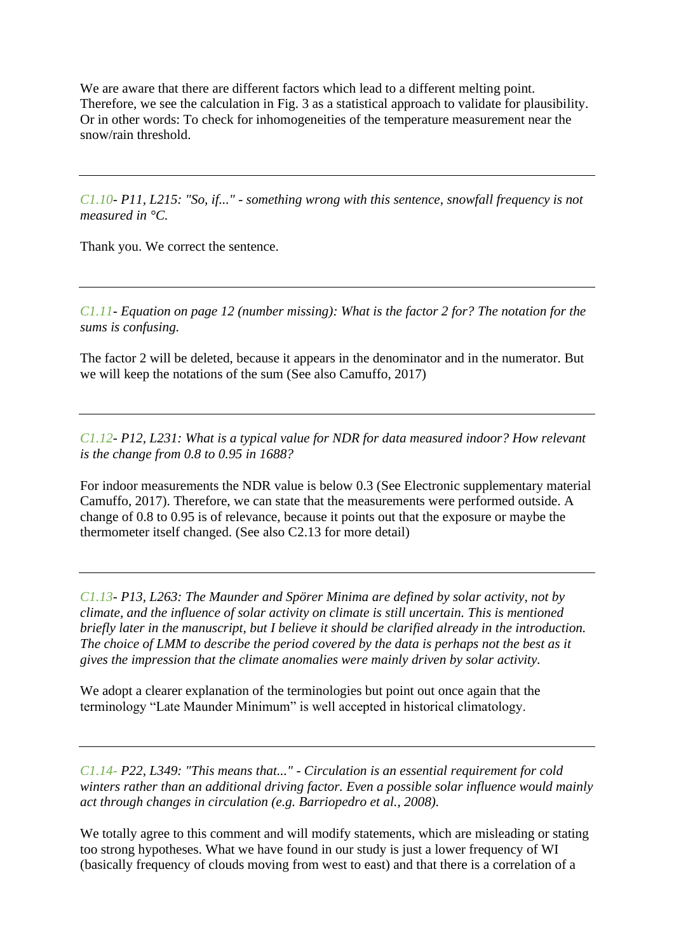We are aware that there are different factors which lead to a different melting point. Therefore, we see the calculation in Fig. 3 as a statistical approach to validate for plausibility. Or in other words: To check for inhomogeneities of the temperature measurement near the snow/rain threshold.

*C1.10- P11, L215: "So, if..." - something wrong with this sentence, snowfall frequency is not measured in °C.*

Thank you. We correct the sentence.

*C1.11- Equation on page 12 (number missing): What is the factor 2 for? The notation for the sums is confusing.*

The factor 2 will be deleted, because it appears in the denominator and in the numerator. But we will keep the notations of the sum (See also Camuffo, 2017)

*C1.12- P12, L231: What is a typical value for NDR for data measured indoor? How relevant is the change from 0.8 to 0.95 in 1688?*

For indoor measurements the NDR value is below 0.3 (See Electronic supplementary material Camuffo, 2017). Therefore, we can state that the measurements were performed outside. A change of 0.8 to 0.95 is of relevance, because it points out that the exposure or maybe the thermometer itself changed. (See also C2.13 for more detail)

*C1.13- P13, L263: The Maunder and Spörer Minima are defined by solar activity, not by climate, and the influence of solar activity on climate is still uncertain. This is mentioned briefly later in the manuscript, but I believe it should be clarified already in the introduction. The choice of LMM to describe the period covered by the data is perhaps not the best as it gives the impression that the climate anomalies were mainly driven by solar activity.*

We adopt a clearer explanation of the terminologies but point out once again that the terminology "Late Maunder Minimum" is well accepted in historical climatology.

*C1.14- P22, L349: "This means that..." - Circulation is an essential requirement for cold winters rather than an additional driving factor. Even a possible solar influence would mainly act through changes in circulation (e.g. Barriopedro et al., 2008).*

We totally agree to this comment and will modify statements, which are misleading or stating too strong hypotheses. What we have found in our study is just a lower frequency of WI (basically frequency of clouds moving from west to east) and that there is a correlation of a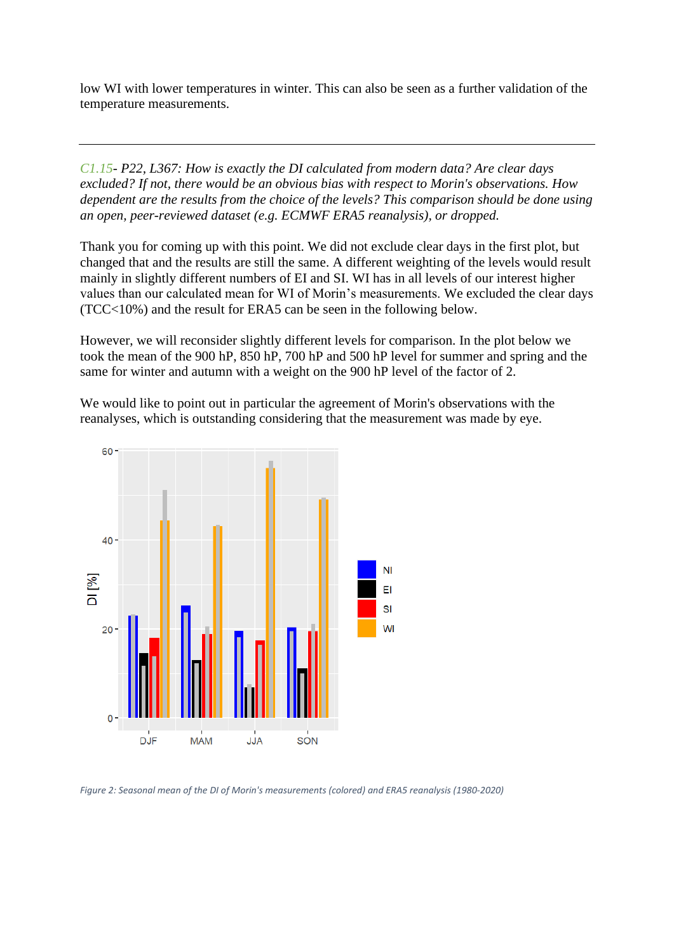low WI with lower temperatures in winter. This can also be seen as a further validation of the temperature measurements.

*C1.15- P22, L367: How is exactly the DI calculated from modern data? Are clear days excluded? If not, there would be an obvious bias with respect to Morin's observations. How dependent are the results from the choice of the levels? This comparison should be done using an open, peer-reviewed dataset (e.g. ECMWF ERA5 reanalysis), or dropped.*

Thank you for coming up with this point. We did not exclude clear days in the first plot, but changed that and the results are still the same. A different weighting of the levels would result mainly in slightly different numbers of EI and SI. WI has in all levels of our interest higher values than our calculated mean for WI of Morin's measurements. We excluded the clear days (TCC<10%) and the result for ERA5 can be seen in the following below.

However, we will reconsider slightly different levels for comparison. In the plot below we took the mean of the 900 hP, 850 hP, 700 hP and 500 hP level for summer and spring and the same for winter and autumn with a weight on the 900 hP level of the factor of 2.

We would like to point out in particular the agreement of Morin's observations with the reanalyses, which is outstanding considering that the measurement was made by eye.



*Figure 2: Seasonal mean of the DI of Morin's measurements (colored) and ERA5 reanalysis (1980-2020)*